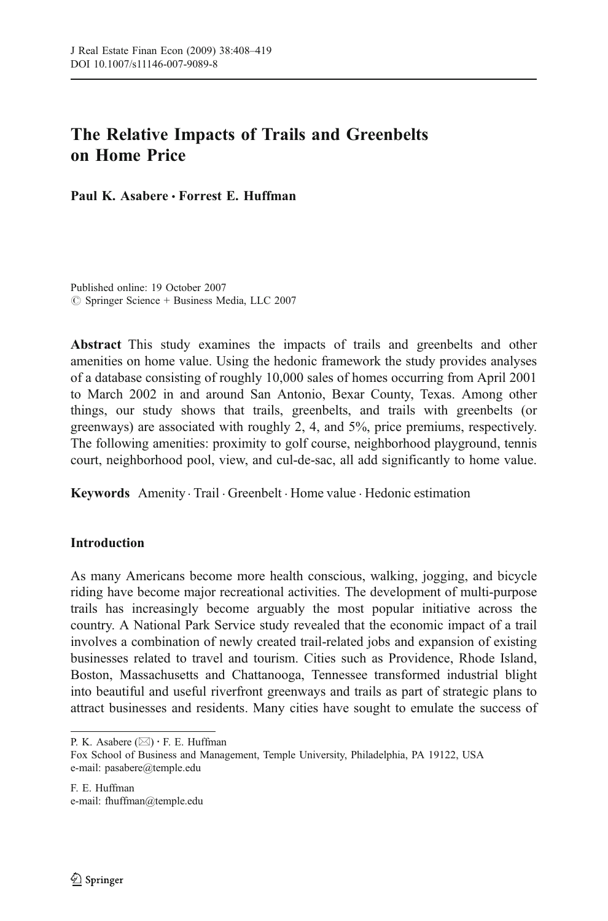# The Relative Impacts of Trails and Greenbelts on Home Price

Paul K. Asabere *&* Forrest E. Huffman

Published online: 19 October 2007  $\oslash$  Springer Science + Business Media, LLC 2007

Abstract This study examines the impacts of trails and greenbelts and other amenities on home value. Using the hedonic framework the study provides analyses of a database consisting of roughly 10,000 sales of homes occurring from April 2001 to March 2002 in and around San Antonio, Bexar County, Texas. Among other things, our study shows that trails, greenbelts, and trails with greenbelts (or greenways) are associated with roughly 2, 4, and 5%, price premiums, respectively. The following amenities: proximity to golf course, neighborhood playground, tennis court, neighborhood pool, view, and cul-de-sac, all add significantly to home value.

Keywords Amenity . Trail . Greenbelt . Home value . Hedonic estimation

## Introduction

As many Americans become more health conscious, walking, jogging, and bicycle riding have become major recreational activities. The development of multi-purpose trails has increasingly become arguably the most popular initiative across the country. A National Park Service study revealed that the economic impact of a trail involves a combination of newly created trail-related jobs and expansion of existing businesses related to travel and tourism. Cities such as Providence, Rhode Island, Boston, Massachusetts and Chattanooga, Tennessee transformed industrial blight into beautiful and useful riverfront greenways and trails as part of strategic plans to attract businesses and residents. Many cities have sought to emulate the success of

P. K. Asabere (*\**) : F. E. Huffman

F. E. Huffman e-mail: fhuffman@temple.edu

Fox School of Business and Management, Temple University, Philadelphia, PA 19122, USA e-mail: pasabere@temple.edu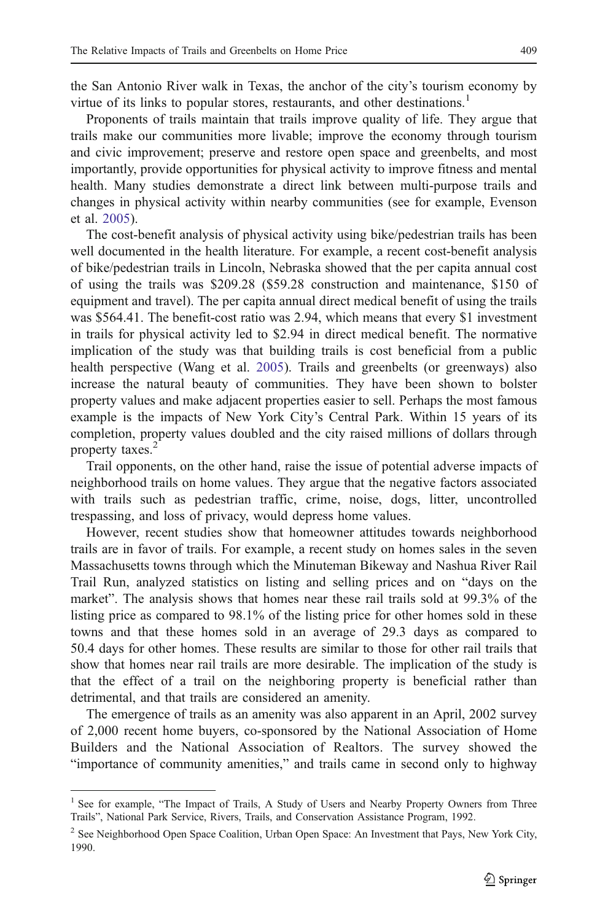the San Antonio River walk in Texas, the anchor of the city's tourism economy by virtue of its links to popular stores, restaurants, and other destinations.<sup>1</sup>

Proponents of trails maintain that trails improve quality of life. They argue that trails make our communities more livable; improve the economy through tourism and civic improvement; preserve and restore open space and greenbelts, and most importantly, provide opportunities for physical activity to improve fitness and mental health. Many studies demonstrate a direct link between multi-purpose trails and changes in physical activity within nearby communities (see for example, Evenson et al. [2005](#page-11-0)).

The cost-benefit analysis of physical activity using bike/pedestrian trails has been well documented in the health literature. For example, a recent cost-benefit analysis of bike/pedestrian trails in Lincoln, Nebraska showed that the per capita annual cost of using the trails was \$209.28 (\$59.28 construction and maintenance, \$150 of equipment and travel). The per capita annual direct medical benefit of using the trails was \$564.41. The benefit-cost ratio was 2.94, which means that every \$1 investment in trails for physical activity led to \$2.94 in direct medical benefit. The normative implication of the study was that building trails is cost beneficial from a public health perspective (Wang et al. [2005](#page-11-0)). Trails and greenbelts (or greenways) also increase the natural beauty of communities. They have been shown to bolster property values and make adjacent properties easier to sell. Perhaps the most famous example is the impacts of New York City's Central Park. Within 15 years of its completion, property values doubled and the city raised millions of dollars through property taxes.<sup>2</sup>

Trail opponents, on the other hand, raise the issue of potential adverse impacts of neighborhood trails on home values. They argue that the negative factors associated with trails such as pedestrian traffic, crime, noise, dogs, litter, uncontrolled trespassing, and loss of privacy, would depress home values.

However, recent studies show that homeowner attitudes towards neighborhood trails are in favor of trails. For example, a recent study on homes sales in the seven Massachusetts towns through which the Minuteman Bikeway and Nashua River Rail Trail Run, analyzed statistics on listing and selling prices and on "days on the market". The analysis shows that homes near these rail trails sold at 99.3% of the listing price as compared to 98.1% of the listing price for other homes sold in these towns and that these homes sold in an average of 29.3 days as compared to 50.4 days for other homes. These results are similar to those for other rail trails that show that homes near rail trails are more desirable. The implication of the study is that the effect of a trail on the neighboring property is beneficial rather than detrimental, and that trails are considered an amenity.

The emergence of trails as an amenity was also apparent in an April, 2002 survey of 2,000 recent home buyers, co-sponsored by the National Association of Home Builders and the National Association of Realtors. The survey showed the "importance of community amenities," and trails came in second only to highway

<sup>&</sup>lt;sup>1</sup> See for example, "The Impact of Trails, A Study of Users and Nearby Property Owners from Three Trails", National Park Service, Rivers, Trails, and Conservation Assistance Program, 1992.

<sup>&</sup>lt;sup>2</sup> See Neighborhood Open Space Coalition, Urban Open Space: An Investment that Pays, New York City, 1990.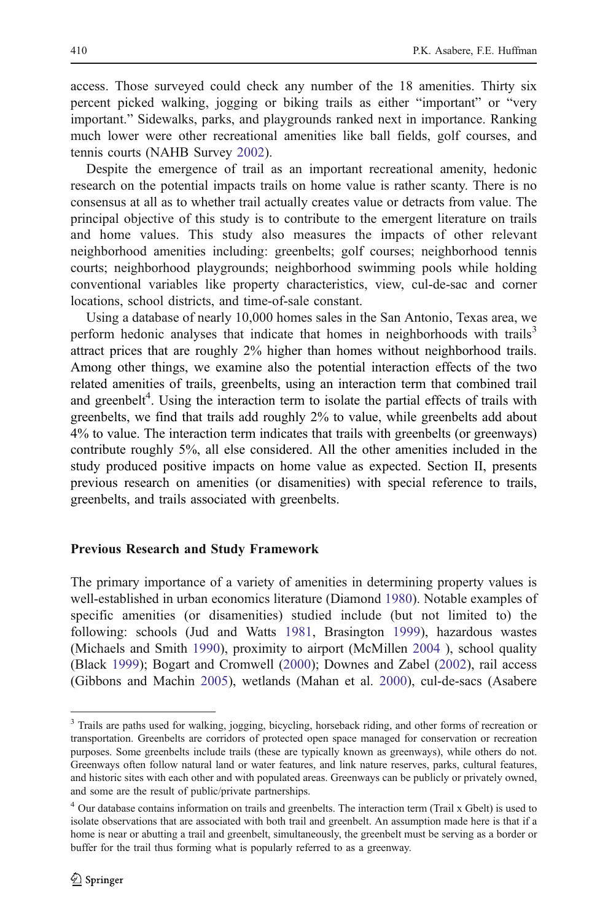access. Those surveyed could check any number of the 18 amenities. Thirty six percent picked walking, jogging or biking trails as either "important" or "very important." Sidewalks, parks, and playgrounds ranked next in importance. Ranking much lower were other recreational amenities like ball fields, golf courses, and tennis courts (NAHB Survey [2002](#page-11-0)).

Despite the emergence of trail as an important recreational amenity, hedonic research on the potential impacts trails on home value is rather scanty. There is no consensus at all as to whether trail actually creates value or detracts from value. The principal objective of this study is to contribute to the emergent literature on trails and home values. This study also measures the impacts of other relevant neighborhood amenities including: greenbelts; golf courses; neighborhood tennis courts; neighborhood playgrounds; neighborhood swimming pools while holding conventional variables like property characteristics, view, cul-de-sac and corner locations, school districts, and time-of-sale constant.

Using a database of nearly 10,000 homes sales in the San Antonio, Texas area, we perform hedonic analyses that indicate that homes in neighborhoods with trails<sup>3</sup> attract prices that are roughly 2% higher than homes without neighborhood trails. Among other things, we examine also the potential interaction effects of the two related amenities of trails, greenbelts, using an interaction term that combined trail and greenbelt<sup>4</sup>. Using the interaction term to isolate the partial effects of trails with greenbelts, we find that trails add roughly 2% to value, while greenbelts add about 4% to value. The interaction term indicates that trails with greenbelts (or greenways) contribute roughly 5%, all else considered. All the other amenities included in the study produced positive impacts on home value as expected. Section II, presents previous research on amenities (or disamenities) with special reference to trails, greenbelts, and trails associated with greenbelts.

#### Previous Research and Study Framework

The primary importance of a variety of amenities in determining property values is well-established in urban economics literature (Diamond [1980](#page-11-0)). Notable examples of specific amenities (or disamenities) studied include (but not limited to) the following: schools (Jud and Watts [1981,](#page-11-0) Brasington [1999](#page-10-0)), hazardous wastes (Michaels and Smith [1990](#page-11-0)), proximity to airport (McMillen [2004](#page-11-0) ), school quality (Black [1999\)](#page-10-0); Bogart and Cromwell ([2000\)](#page-10-0); Downes and Zabel [\(2002](#page-11-0)), rail access (Gibbons and Machin [2005](#page-11-0)), wetlands (Mahan et al. [2000](#page-11-0)), cul-de-sacs (Asabere

<sup>&</sup>lt;sup>3</sup> Trails are paths used for walking, jogging, bicycling, horseback riding, and other forms of recreation or transportation. Greenbelts are corridors of protected open space managed for conservation or recreation purposes. Some greenbelts include trails (these are typically known as greenways), while others do not. Greenways often follow natural land or water features, and link nature reserves, parks, cultural features, and historic sites with each other and with populated areas. Greenways can be publicly or privately owned, and some are the result of public/private partnerships.

<sup>4</sup> Our database contains information on trails and greenbelts. The interaction term (Trail x Gbelt) is used to isolate observations that are associated with both trail and greenbelt. An assumption made here is that if a home is near or abutting a trail and greenbelt, simultaneously, the greenbelt must be serving as a border or buffer for the trail thus forming what is popularly referred to as a greenway.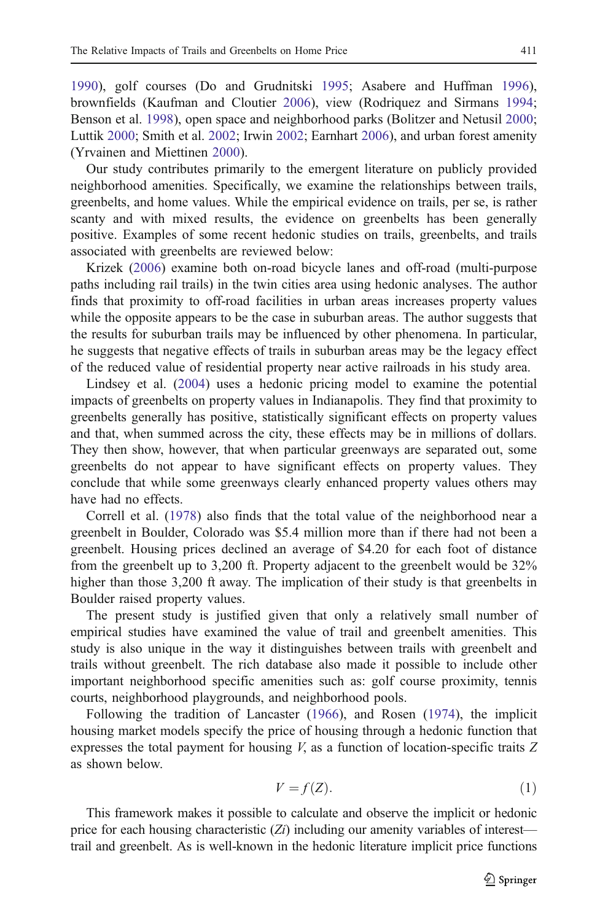<span id="page-3-0"></span>[1990](#page-10-0)), golf courses (Do and Grudnitski [1995](#page-11-0); Asabere and Huffman [1996\)](#page-10-0), brownfields (Kaufman and Cloutier [2006\)](#page-11-0), view (Rodriquez and Sirmans [1994;](#page-11-0) Benson et al. [1998\)](#page-10-0), open space and neighborhood parks (Bolitzer and Netusil [2000;](#page-10-0) Luttik [2000;](#page-11-0) Smith et al. [2002;](#page-11-0) Irwin [2002;](#page-11-0) Earnhart [2006](#page-11-0)), and urban forest amenity (Yrvainen and Miettinen [2000\)](#page-11-0).

Our study contributes primarily to the emergent literature on publicly provided neighborhood amenities. Specifically, we examine the relationships between trails, greenbelts, and home values. While the empirical evidence on trails, per se, is rather scanty and with mixed results, the evidence on greenbelts has been generally positive. Examples of some recent hedonic studies on trails, greenbelts, and trails associated with greenbelts are reviewed below:

Krizek [\(2006\)](#page-11-0) examine both on-road bicycle lanes and off-road (multi-purpose paths including rail trails) in the twin cities area using hedonic analyses. The author finds that proximity to off-road facilities in urban areas increases property values while the opposite appears to be the case in suburban areas. The author suggests that the results for suburban trails may be influenced by other phenomena. In particular, he suggests that negative effects of trails in suburban areas may be the legacy effect of the reduced value of residential property near active railroads in his study area.

Lindsey et al. ([2004\)](#page-11-0) uses a hedonic pricing model to examine the potential impacts of greenbelts on property values in Indianapolis. They find that proximity to greenbelts generally has positive, statistically significant effects on property values and that, when summed across the city, these effects may be in millions of dollars. They then show, however, that when particular greenways are separated out, some greenbelts do not appear to have significant effects on property values. They conclude that while some greenways clearly enhanced property values others may have had no effects.

Correll et al. [\(1978](#page-10-0)) also finds that the total value of the neighborhood near a greenbelt in Boulder, Colorado was \$5.4 million more than if there had not been a greenbelt. Housing prices declined an average of \$4.20 for each foot of distance from the greenbelt up to 3,200 ft. Property adjacent to the greenbelt would be 32% higher than those 3,200 ft away. The implication of their study is that greenbelts in Boulder raised property values.

The present study is justified given that only a relatively small number of empirical studies have examined the value of trail and greenbelt amenities. This study is also unique in the way it distinguishes between trails with greenbelt and trails without greenbelt. The rich database also made it possible to include other important neighborhood specific amenities such as: golf course proximity, tennis courts, neighborhood playgrounds, and neighborhood pools.

Following the tradition of Lancaster [\(1966](#page-11-0)), and Rosen [\(1974](#page-11-0)), the implicit housing market models specify the price of housing through a hedonic function that expresses the total payment for housing  $V$ , as a function of location-specific traits  $Z$ as shown below.

$$
V = f(Z). \tag{1}
$$

This framework makes it possible to calculate and observe the implicit or hedonic price for each housing characteristic  $(Z_i)$  including our amenity variables of interest trail and greenbelt. As is well-known in the hedonic literature implicit price functions

 $\mathcal{D}$  Springer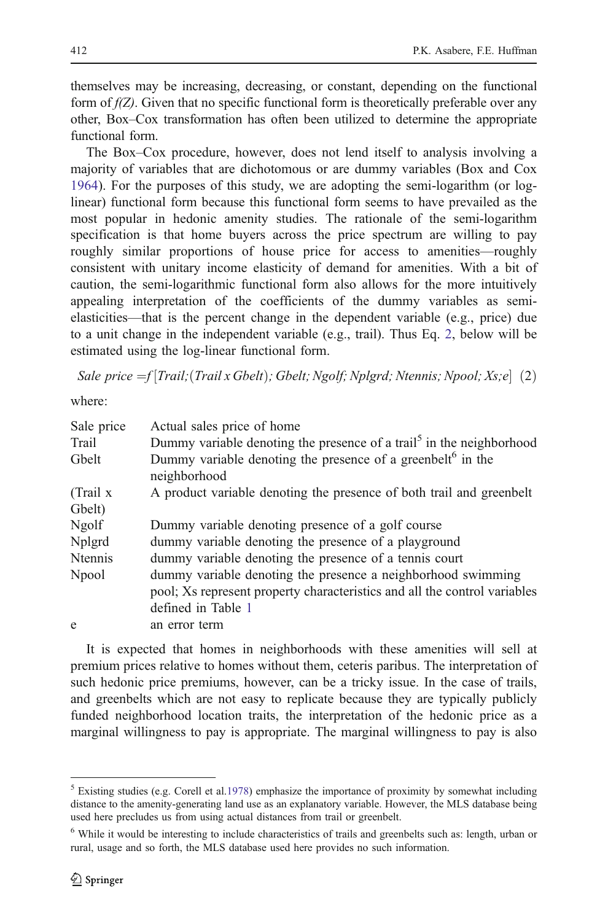<span id="page-4-0"></span>themselves may be increasing, decreasing, or constant, depending on the functional form of  $f(Z)$ . Given that no specific functional form is theoretically preferable over any other, Box–Cox transformation has often been utilized to determine the appropriate functional form.

The Box–Cox procedure, however, does not lend itself to analysis involving a majority of variables that are dichotomous or are dummy variables (Box and Cox [1964\)](#page-10-0). For the purposes of this study, we are adopting the semi-logarithm (or loglinear) functional form because this functional form seems to have prevailed as the most popular in hedonic amenity studies. The rationale of the semi-logarithm specification is that home buyers across the price spectrum are willing to pay roughly similar proportions of house price for access to amenities—roughly consistent with unitary income elasticity of demand for amenities. With a bit of caution, the semi-logarithmic functional form also allows for the more intuitively appealing interpretation of the coefficients of the dummy variables as semielasticities—that is the percent change in the dependent variable (e.g., price) due to a unit change in the independent variable (e.g., trail). Thus Eq. 2, below will be estimated using the log-linear functional form.

Sale price  $=f$  Trail; (Trail x Gbelt); Gbelt; Ngolf; Nplgrd; Ntennis; Npool; Xs;e  $(2)$ 

where:

| Sale price     | Actual sales price of home                                                                                                                                      |
|----------------|-----------------------------------------------------------------------------------------------------------------------------------------------------------------|
| Trail          | Dummy variable denoting the presence of a trail <sup>3</sup> in the neighborhood                                                                                |
| Gbelt          | Dummy variable denoting the presence of a greenbelt <sup>6</sup> in the<br>neighborhood                                                                         |
| (Trail x       | A product variable denoting the presence of both trail and greenbelt                                                                                            |
| Gbelt)         |                                                                                                                                                                 |
| <b>Ngolf</b>   | Dummy variable denoting presence of a golf course                                                                                                               |
| Nplgrd         | dummy variable denoting the presence of a playground                                                                                                            |
| <b>Ntennis</b> | dummy variable denoting the presence of a tennis court                                                                                                          |
| Npool          | dummy variable denoting the presence a neighborhood swimming<br>pool; Xs represent property characteristics and all the control variables<br>defined in Table 1 |
| e              | an error term                                                                                                                                                   |

It is expected that homes in neighborhoods with these amenities will sell at premium prices relative to homes without them, ceteris paribus. The interpretation of such hedonic price premiums, however, can be a tricky issue. In the case of trails, and greenbelts which are not easy to replicate because they are typically publicly funded neighborhood location traits, the interpretation of the hedonic price as a marginal willingness to pay is appropriate. The marginal willingness to pay is also

<sup>5</sup> Existing studies (e.g. Corell et al[.1978\)](#page-10-0) emphasize the importance of proximity by somewhat including distance to the amenity-generating land use as an explanatory variable. However, the MLS database being used here precludes us from using actual distances from trail or greenbelt.

<sup>&</sup>lt;sup>6</sup> While it would be interesting to include characteristics of trails and greenbelts such as: length, urban or rural, usage and so forth, the MLS database used here provides no such information.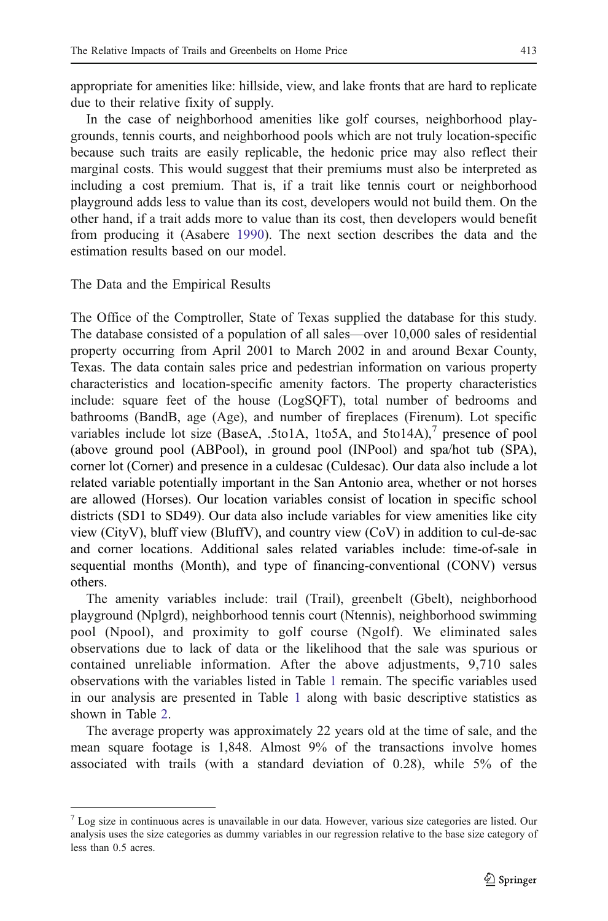appropriate for amenities like: hillside, view, and lake fronts that are hard to replicate due to their relative fixity of supply.

In the case of neighborhood amenities like golf courses, neighborhood playgrounds, tennis courts, and neighborhood pools which are not truly location-specific because such traits are easily replicable, the hedonic price may also reflect their marginal costs. This would suggest that their premiums must also be interpreted as including a cost premium. That is, if a trait like tennis court or neighborhood playground adds less to value than its cost, developers would not build them. On the other hand, if a trait adds more to value than its cost, then developers would benefit from producing it (Asabere [1990](#page-10-0)). The next section describes the data and the estimation results based on our model.

The Data and the Empirical Results

The Office of the Comptroller, State of Texas supplied the database for this study. The database consisted of a population of all sales—over 10,000 sales of residential property occurring from April 2001 to March 2002 in and around Bexar County, Texas. The data contain sales price and pedestrian information on various property characteristics and location-specific amenity factors. The property characteristics include: square feet of the house (LogSQFT), total number of bedrooms and bathrooms (BandB, age (Age), and number of fireplaces (Firenum). Lot specific variables include lot size (BaseA, .5to1A, 1to5A, and 5to14A), $^7$  presence of pool (above ground pool (ABPool), in ground pool (INPool) and spa/hot tub (SPA), corner lot (Corner) and presence in a culdesac (Culdesac). Our data also include a lot related variable potentially important in the San Antonio area, whether or not horses are allowed (Horses). Our location variables consist of location in specific school districts (SD1 to SD49). Our data also include variables for view amenities like city view (CityV), bluff view (BluffV), and country view (CoV) in addition to cul-de-sac and corner locations. Additional sales related variables include: time-of-sale in sequential months (Month), and type of financing-conventional (CONV) versus others.

The amenity variables include: trail (Trail), greenbelt (Gbelt), neighborhood playground (Nplgrd), neighborhood tennis court (Ntennis), neighborhood swimming pool (Npool), and proximity to golf course (Ngolf). We eliminated sales observations due to lack of data or the likelihood that the sale was spurious or contained unreliable information. After the above adjustments, 9,710 sales observations with the variables listed in Table [1](#page-6-0) remain. The specific variables used in our analysis are presented in Table [1](#page-6-0) along with basic descriptive statistics as shown in Table [2](#page-7-0).

The average property was approximately 22 years old at the time of sale, and the mean square footage is 1,848. Almost 9% of the transactions involve homes associated with trails (with a standard deviation of 0.28), while 5% of the

 $<sup>7</sup>$  Log size in continuous acres is unavailable in our data. However, various size categories are listed. Our</sup> analysis uses the size categories as dummy variables in our regression relative to the base size category of less than 0.5 acres.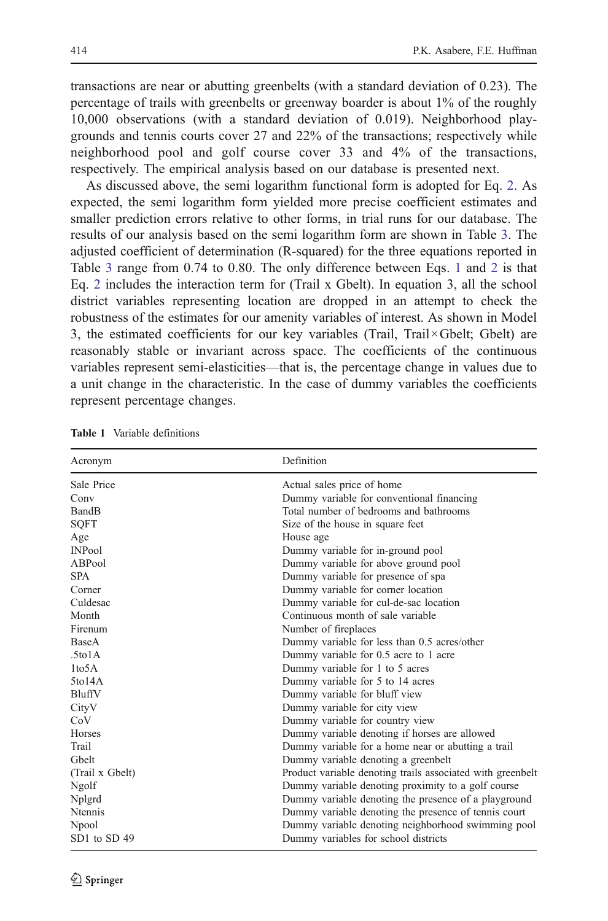<span id="page-6-0"></span>transactions are near or abutting greenbelts (with a standard deviation of 0.23). The percentage of trails with greenbelts or greenway boarder is about 1% of the roughly 10,000 observations (with a standard deviation of 0.019). Neighborhood playgrounds and tennis courts cover 27 and 22% of the transactions; respectively while neighborhood pool and golf course cover 33 and 4% of the transactions, respectively. The empirical analysis based on our database is presented next.

As discussed above, the semi logarithm functional form is adopted for Eq. [2.](#page-4-0) As expected, the semi logarithm form yielded more precise coefficient estimates and smaller prediction errors relative to other forms, in trial runs for our database. The results of our analysis based on the semi logarithm form are shown in Table [3](#page-8-0). The adjusted coefficient of determination (R-squared) for the three equations reported in Table [3](#page-8-0) range from 0.74 to 0.80. The only difference between Eqs. [1](#page-3-0) and [2](#page-4-0) is that Eq. [2](#page-4-0) includes the interaction term for (Trail x Gbelt). In equation 3, all the school district variables representing location are dropped in an attempt to check the robustness of the estimates for our amenity variables of interest. As shown in Model 3, the estimated coefficients for our key variables (Trail, Trail×Gbelt; Gbelt) are reasonably stable or invariant across space. The coefficients of the continuous variables represent semi-elasticities—that is, the percentage change in values due to a unit change in the characteristic. In the case of dummy variables the coefficients represent percentage changes.

| Acronym             | Definition                                                 |
|---------------------|------------------------------------------------------------|
| Sale Price          | Actual sales price of home                                 |
| Conv                | Dummy variable for conventional financing                  |
| BandB               | Total number of bedrooms and bathrooms                     |
| <b>SQFT</b>         | Size of the house in square feet                           |
| Age                 | House age                                                  |
| <b>INPool</b>       | Dummy variable for in-ground pool                          |
| ABPool              | Dummy variable for above ground pool                       |
| <b>SPA</b>          | Dummy variable for presence of spa                         |
| Corner              | Dummy variable for corner location                         |
| Culdesac            | Dummy variable for cul-de-sac location                     |
| Month               | Continuous month of sale variable                          |
| Firenum             | Number of fireplaces                                       |
| <b>BaseA</b>        | Dummy variable for less than 0.5 acres/other               |
| .5t <sub>0</sub> 1A | Dummy variable for 0.5 acre to 1 acre                      |
| 1 <sub>to</sub> 5A  | Dummy variable for 1 to 5 acres                            |
| 5t <sub>0</sub> 14A | Dummy variable for 5 to 14 acres                           |
| BluffV              | Dummy variable for bluff view                              |
| CityV               | Dummy variable for city view                               |
| CoV                 | Dummy variable for country view                            |
| <b>Horses</b>       | Dummy variable denoting if horses are allowed              |
| Trail               | Dummy variable for a home near or abutting a trail         |
| Ghelt               | Dummy variable denoting a greenbelt                        |
| (Trail x Gbelt)     | Product variable denoting trails associated with greenbelt |
| Ngolf               | Dummy variable denoting proximity to a golf course         |
| Nplgrd              | Dummy variable denoting the presence of a playground       |
| <b>Ntennis</b>      | Dummy variable denoting the presence of tennis court       |
| Npool               | Dummy variable denoting neighborhood swimming pool         |
| SD1 to SD 49        | Dummy variables for school districts                       |

| Table 1 |  | Variable definitions |
|---------|--|----------------------|
|         |  |                      |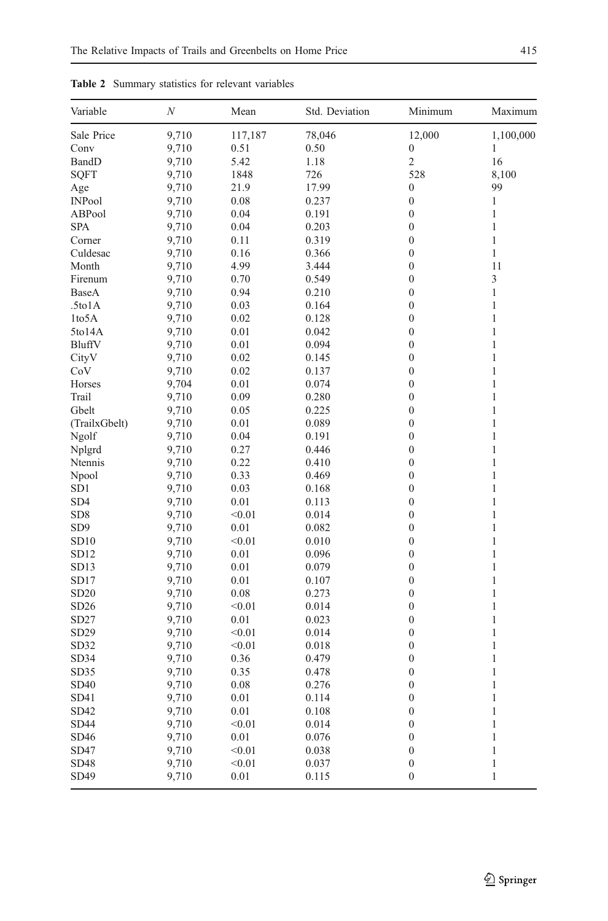| Variable           | N     | Mean    | Std. Deviation | Minimum          | Maximum      |
|--------------------|-------|---------|----------------|------------------|--------------|
| Sale Price         | 9,710 | 117,187 | 78,046         | 12,000           | 1,100,000    |
| Conv               | 9,710 | 0.51    | 0.50           | $\boldsymbol{0}$ | 1            |
| BandD              | 9,710 | 5.42    | 1.18           | $\overline{2}$   | 16           |
| <b>SQFT</b>        | 9,710 | 1848    | 726            | 528              | 8,100        |
| Age                | 9,710 | 21.9    | 17.99          | $\boldsymbol{0}$ | 99           |
| <b>INPool</b>      | 9,710 | 0.08    | 0.237          | $\boldsymbol{0}$ | 1            |
| ABPool             | 9,710 | 0.04    | 0.191          | $\boldsymbol{0}$ | $\mathbf{1}$ |
| <b>SPA</b>         | 9,710 | 0.04    | 0.203          | $\mathbf{0}$     | $\mathbf{1}$ |
| Corner             | 9,710 | 0.11    | 0.319          | $\boldsymbol{0}$ | $\mathbf{1}$ |
| Culdesac           | 9,710 | 0.16    | 0.366          | $\boldsymbol{0}$ | $\mathbf{1}$ |
| Month              | 9,710 | 4.99    | 3.444          | $\overline{0}$   | 11           |
| Firenum            | 9,710 | 0.70    | 0.549          | $\boldsymbol{0}$ | 3            |
| BaseA              | 9,710 | 0.94    | 0.210          | $\boldsymbol{0}$ | $\mathbf{1}$ |
| .5to1A             | 9,710 | 0.03    | 0.164          | $\boldsymbol{0}$ | $\mathbf{1}$ |
| 1to <sub>5</sub> A | 9,710 | 0.02    | 0.128          | $\mathbf{0}$     | $\mathbf{1}$ |
| 5to14A             | 9,710 | 0.01    | 0.042          | $\boldsymbol{0}$ | $\mathbf{1}$ |
| BluffV             | 9,710 | 0.01    | 0.094          | $\boldsymbol{0}$ | $\mathbf{1}$ |
| CityV              | 9,710 | 0.02    | 0.145          | $\mathbf{0}$     | $\mathbf{1}$ |
| CoV                | 9,710 | 0.02    | 0.137          | $\boldsymbol{0}$ | $\mathbf{1}$ |
| Horses             | 9,704 | 0.01    | 0.074          | $\mathbf{0}$     | $\mathbf{1}$ |
| Trail              | 9,710 | 0.09    | 0.280          | $\boldsymbol{0}$ | $\mathbf{1}$ |
| Gbelt              | 9,710 | 0.05    | 0.225          | $\boldsymbol{0}$ | $\mathbf{1}$ |
| (TrailxGbelt)      | 9,710 | 0.01    | 0.089          | $\overline{0}$   | $\mathbf{1}$ |
| Ngolf              | 9,710 | 0.04    | 0.191          | $\boldsymbol{0}$ | $\mathbf{1}$ |
| Nplgrd             | 9,710 | 0.27    | 0.446          | $\boldsymbol{0}$ | 1            |
| Ntennis            | 9,710 | 0.22    | 0.410          | $\mathbf{0}$     | $\mathbf{1}$ |
| Npool              | 9,710 | 0.33    | 0.469          | $\boldsymbol{0}$ | $\mathbf{1}$ |
| SD <sub>1</sub>    | 9,710 | 0.03    | 0.168          | $\mathbf{0}$     | $\mathbf{1}$ |
| SD <sub>4</sub>    | 9,710 | 0.01    | 0.113          | $\boldsymbol{0}$ | $\mathbf{1}$ |
| SD8                | 9,710 | < 0.01  | 0.014          | $\mathbf{0}$     | $\mathbf{1}$ |
| SD <sub>9</sub>    | 9,710 | 0.01    | 0.082          | $\boldsymbol{0}$ | $\mathbf{1}$ |
| SD10               | 9,710 | < 0.01  | 0.010          | $\mathbf{0}$     | $\mathbf{1}$ |
| SD <sub>12</sub>   | 9,710 | 0.01    | 0.096          | $\boldsymbol{0}$ | $\mathbf{1}$ |
| SD <sub>13</sub>   | 9,710 | 0.01    | 0.079          | $\boldsymbol{0}$ | $\mathbf{1}$ |
| SD17               | 9,710 | 0.01    | 0.107          | $\overline{0}$   | $\mathbf{1}$ |
| SD <sub>20</sub>   | 9,710 | 0.08    | 0.273          | $\boldsymbol{0}$ | $\mathbf{1}$ |
| SD26               | 9,710 | < 0.01  | 0.014          | $\boldsymbol{0}$ | 1            |
| SD27               | 9,710 | 0.01    | 0.023          | $\boldsymbol{0}$ | $\mathbf{1}$ |
| SD29               | 9,710 | < 0.01  | 0.014          | $\boldsymbol{0}$ | $\mathbf{1}$ |
| SD32               | 9,710 | < 0.01  | 0.018          | $\boldsymbol{0}$ | $\mathbf{1}$ |
| SD34               | 9,710 | 0.36    | 0.479          | $\mathbf{0}$     | $\mathbf{1}$ |
| SD35               | 9,710 | 0.35    | 0.478          | $\boldsymbol{0}$ | 1            |
| SD40               |       |         |                | $\boldsymbol{0}$ | $\mathbf{1}$ |
|                    | 9,710 | 0.08    | 0.276          | $\mathbf{0}$     | $\mathbf{1}$ |
| SD41               | 9,710 | 0.01    | 0.114          |                  |              |
| SD42               | 9,710 | 0.01    | 0.108          | $\boldsymbol{0}$ | $\mathbf{1}$ |
| <b>SD44</b>        | 9,710 | < 0.01  | 0.014          | $\boldsymbol{0}$ | $\mathbf{1}$ |
| SD46               | 9,710 | 0.01    | 0.076          | $\mathbf{0}$     | $\mathbf{1}$ |
| SD47               | 9,710 | < 0.01  | 0.038          | $\boldsymbol{0}$ | $\mathbf{1}$ |
| SD48               | 9,710 | < 0.01  | 0.037          | $\boldsymbol{0}$ | $\mathbf{1}$ |
| SD49               | 9,710 | 0.01    | 0.115          | $\mathbf{0}$     | $\mathbf{1}$ |

<span id="page-7-0"></span>Table 2 Summary statistics for relevant variables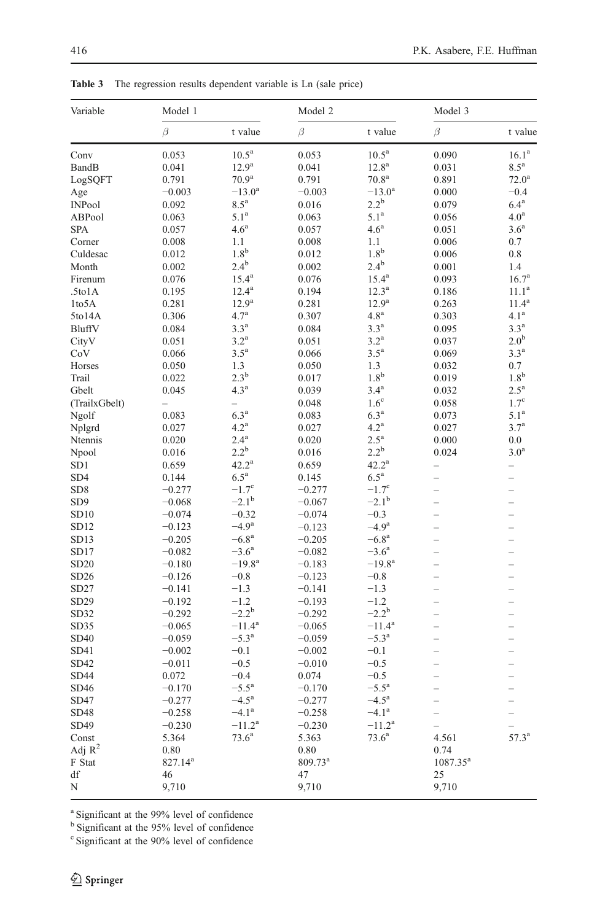| Variable        | Model 1      |                    | Model 2             |                    | Model 3                  |                          |
|-----------------|--------------|--------------------|---------------------|--------------------|--------------------------|--------------------------|
|                 | $\beta$      | t value            | $\beta$             | t value            | $\beta$                  | t value                  |
| Conv            | 0.053        | 10.5 <sup>a</sup>  | 0.053               | 10.5 <sup>a</sup>  | 0.090                    | 16.1 <sup>a</sup>        |
| BandB           | 0.041        | $12.9^{\rm a}$     | 0.041               | $12.8^{\rm a}$     | 0.031                    | $8.5^{\mathrm{a}}$       |
| LogSQFT         | 0.791        | 70.9 <sup>a</sup>  | 0.791               | 70.8 <sup>a</sup>  | 0.891                    | $72.0^{\rm a}$           |
| Age             | $-0.003$     | $-13.0^{\rm a}$    | $-0.003$            | $-13.0^{\rm a}$    | 0.000                    | $-0.4$                   |
| INPool          | 0.092        | $8.5^{\mathrm{a}}$ | 0.016               | $2.2^{b}$          | 0.079                    | 6.4 <sup>a</sup>         |
| ABPool          | 0.063        | 5.1 <sup>a</sup>   | 0.063               | 5.1 <sup>a</sup>   | 0.056                    | 4.0 <sup>a</sup>         |
| SPA             | 0.057        | 4.6 <sup>a</sup>   | 0.057               | 4.6 <sup>a</sup>   | 0.051                    | 3.6 <sup>a</sup>         |
| Corner          | 0.008        | 1.1                | 0.008               | 1.1                | 0.006                    | 0.7                      |
| Culdesac        | 0.012        | 1.8 <sup>b</sup>   | 0.012               | 1.8 <sup>b</sup>   | 0.006                    | 0.8                      |
| Month           | 0.002        | $2.4^{\rm b}$      | 0.002               | $2.4^{\rm b}$      | 0.001                    | 1.4                      |
| Firenum         | 0.076        | $15.4^{\rm a}$     | 0.076               | $15.4^{\rm a}$     | 0.093                    | 16.7 <sup>a</sup>        |
| .5to1A          | 0.195        | $12.4^{\rm a}$     | 0.194               | $12.3^{\rm a}$     | 0.186                    | $11.1^{\rm a}$           |
| 1to5A           | 0.281        | 12.9 <sup>a</sup>  | 0.281               | 12.9 <sup>a</sup>  | 0.263                    | $11.4^a$                 |
| 5to14A          | 0.306        | $4.7^{\rm a}$      | 0.307               | 4.8 <sup>a</sup>   | 0.303                    | $4.1^{\rm a}$            |
| BluffV          | 0.084        | 3.3 <sup>a</sup>   | 0.084               | 3.3 <sup>a</sup>   | 0.095                    | 3.3 <sup>a</sup>         |
| CityV           | 0.051        | $3.2^{\mathrm{a}}$ | 0.051               | $3.2^{\mathrm{a}}$ | 0.037                    | 2.0 <sup>b</sup>         |
| CoV             | 0.066        | $3.5^{\mathrm{a}}$ | 0.066               | $3.5^{\mathrm{a}}$ | 0.069                    | 3.3 <sup>a</sup>         |
|                 |              | 1.3                |                     | 1.3                |                          | 0.7                      |
| Horses          | 0.050        | $2.3^{\rm b}$      | 0.050               | 1.8 <sup>b</sup>   | 0.032                    | $1.8^{\rm b}$            |
| Trail           | 0.022        | 4.3 <sup>a</sup>   | 0.017               | $3.4^{a}$          | 0.019                    | $2.5^{\mathrm{a}}$       |
| Gbelt           | 0.045        |                    | 0.039               |                    | 0.032                    |                          |
| (TrailxGbelt)   |              |                    | 0.048               | 1.6 <sup>c</sup>   | 0.058                    | 1.7 <sup>c</sup>         |
| Ngolf           | 0.083        | 6.3 <sup>a</sup>   | 0.083               | 6.3 <sup>a</sup>   | 0.073                    | 5.1 <sup>a</sup>         |
| Nplgrd          | 0.027        | 4.2 <sup>a</sup>   | 0.027               | $4.2^{\mathrm{a}}$ | 0.027                    | $3.7^{a}$                |
| Ntennis         | 0.020        | $2.4^{\mathrm{a}}$ | 0.020               | $2.5^{\mathrm{a}}$ | 0.000                    | 0.0                      |
| Npool           | 0.016        | $2.2^{\rm b}$      | 0.016               | $2.2^{\rm b}$      | 0.024                    | 3.0 <sup>a</sup>         |
| SD <sub>1</sub> | 0.659        | $42.2^{\rm a}$     | 0.659               | $42.2^{\rm a}$     | $\overline{\phantom{0}}$ | -                        |
| SD4             | 0.144        | $6.5^{\mathrm{a}}$ | 0.145               | $6.5^{\mathrm{a}}$ |                          | $\overline{\phantom{0}}$ |
| SD <sub>8</sub> | $-0.277$     | $-1.7^{\circ}$     | $-0.277$            | $-1.7^{\circ}$     | $\overline{\phantom{0}}$ | $\overline{\phantom{0}}$ |
| SD <sub>9</sub> | $-0.068$     | $-2.1^{\rm b}$     | $-0.067$            | $-2.1^{\rm b}$     |                          |                          |
| SD10            | $-0.074$     | $-0.32$            | $-0.074$            | $-0.3$             |                          |                          |
| SD12            | $-0.123$     | $-4.9^{\rm a}$     | $-0.123$            | $-4.9a$            |                          | $\overline{\phantom{0}}$ |
| SD13            | $-0.205$     | $-6.8a$            | $-0.205$            | $-6.8^{\rm a}$     |                          | $\overline{\phantom{0}}$ |
| SD17            | $-0.082$     | $-3.6^{\rm a}$     | $-0.082$            | $-3.6^{\circ}$     |                          |                          |
| SD20            | $-0.180$     | $-19.8^{\rm a}$    | $-0.183$            | $-19.8^{\rm a}$    |                          |                          |
| SD26            | $-0.126$     | $-0.8$             | $-0.123$            | $-0.8$             | $\overline{\phantom{0}}$ | $\overline{\phantom{0}}$ |
| SD27            | $-0.141$     | $-1.3$             | $-0.141$            | $-1.3$             |                          |                          |
| SD29            | $-0.192$     | $-1.2$             | $-0.193$            | $-1.2$             |                          |                          |
| SD32            | $-0.292$     | $-2.2^b$           | $-0.292$            | $-2.2^{\rm b}$     |                          | $\overline{\phantom{0}}$ |
| SD35            | $-0.065$     | $-11.4^{\rm a}$    | $-0.065$            | $-11.4^{\rm a}$    |                          | $\overline{a}$           |
| SD40            | $-0.059$     | $-5.3^{\rm a}$     | $-0.059$            | $-5.3^{\rm a}$     |                          |                          |
| SD41            | $-0.002$     | $-0.1$             | $-0.002$            | $-0.1$             |                          | $\overline{\phantom{0}}$ |
| SD42            | $-0.011$     | $-0.5$             | $-0.010$            | $-0.5$             |                          | $\overline{\phantom{0}}$ |
| SD44            | 0.072        | $-0.4$             | 0.074               | $-0.5$             |                          |                          |
| SD46            | $-0.170$     | $-5.5^{\rm a}$     | $-0.170$            | $-5.5^{\rm a}$     |                          | $\overline{\phantom{0}}$ |
| SD47            | $-0.277$     | $-4.5^{\rm a}$     | $-0.277$            | $-4.5^{\rm a}$     |                          |                          |
| SD48            | $-0.258$     | $-4.1^{\rm a}$     | $-0.258$            | $-4.1^{\rm a}$     | $\overline{\phantom{0}}$ | $\overline{\phantom{0}}$ |
| SD49            | $-0.230$     | $-11.2^{\rm a}$    | $-0.230$            | $-11.2^a$          |                          |                          |
|                 | 5.364        | $73.6^a$           | 5.363               | $73.6^{\rm a}$     | 4.561                    | $57.3^{\rm a}$           |
| Const           |              |                    |                     |                    |                          |                          |
| Adj $R^2$       | 0.80         |                    | 0.80                |                    | 0.74                     |                          |
| F Stat          | $827.14^{a}$ |                    | 809.73 <sup>a</sup> |                    | $1087.35^{a}$            |                          |
| df              | 46           |                    | 47                  |                    | 25                       |                          |
| N               | 9,710        |                    | 9,710               |                    | 9,710                    |                          |

<span id="page-8-0"></span>Table 3 The regression results dependent variable is Ln (sale price)

<sup>a</sup> Significant at the 99% level of confidence

<sup>b</sup> Significant at the 95% level of confidence

<sup>c</sup> Significant at the 90% level of confidence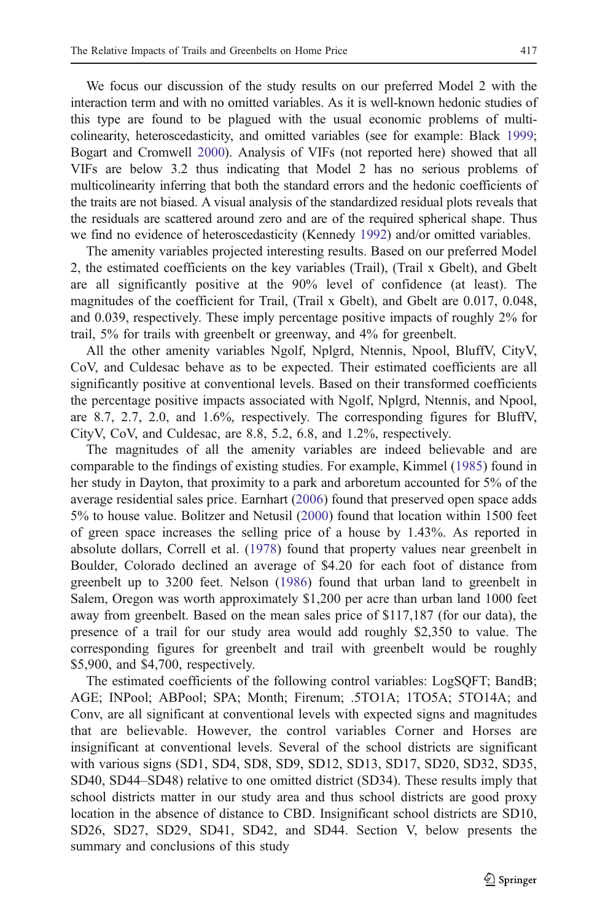We focus our discussion of the study results on our preferred Model 2 with the interaction term and with no omitted variables. As it is well-known hedonic studies of this type are found to be plagued with the usual economic problems of multicolinearity, heteroscedasticity, and omitted variables (see for example: Black [1999;](#page-10-0) Bogart and Cromwell [2000](#page-10-0)). Analysis of VIFs (not reported here) showed that all VIFs are below 3.2 thus indicating that Model 2 has no serious problems of multicolinearity inferring that both the standard errors and the hedonic coefficients of the traits are not biased. A visual analysis of the standardized residual plots reveals that the residuals are scattered around zero and are of the required spherical shape. Thus we find no evidence of heteroscedasticity (Kennedy [1992\)](#page-11-0) and/or omitted variables.

The amenity variables projected interesting results. Based on our preferred Model 2, the estimated coefficients on the key variables (Trail), (Trail x Gbelt), and Gbelt are all significantly positive at the 90% level of confidence (at least). The magnitudes of the coefficient for Trail, (Trail x Gbelt), and Gbelt are 0.017, 0.048, and 0.039, respectively. These imply percentage positive impacts of roughly 2% for trail, 5% for trails with greenbelt or greenway, and 4% for greenbelt.

All the other amenity variables Ngolf, Nplgrd, Ntennis, Npool, BluffV, CityV, CoV, and Culdesac behave as to be expected. Their estimated coefficients are all significantly positive at conventional levels. Based on their transformed coefficients the percentage positive impacts associated with Ngolf, Nplgrd, Ntennis, and Npool, are 8.7, 2.7, 2.0, and 1.6%, respectively. The corresponding figures for BluffV, CityV, CoV, and Culdesac, are 8.8, 5.2, 6.8, and 1.2%, respectively.

The magnitudes of all the amenity variables are indeed believable and are comparable to the findings of existing studies. For example, Kimmel [\(1985](#page-11-0)) found in her study in Dayton, that proximity to a park and arboretum accounted for 5% of the average residential sales price. Earnhart ([2006\)](#page-11-0) found that preserved open space adds 5% to house value. Bolitzer and Netusil ([2000\)](#page-10-0) found that location within 1500 feet of green space increases the selling price of a house by 1.43%. As reported in absolute dollars, Correll et al. [\(1978](#page-10-0)) found that property values near greenbelt in Boulder, Colorado declined an average of \$4.20 for each foot of distance from greenbelt up to 3200 feet. Nelson [\(1986](#page-11-0)) found that urban land to greenbelt in Salem, Oregon was worth approximately \$1,200 per acre than urban land 1000 feet away from greenbelt. Based on the mean sales price of \$117,187 (for our data), the presence of a trail for our study area would add roughly \$2,350 to value. The corresponding figures for greenbelt and trail with greenbelt would be roughly \$5,900, and \$4,700, respectively.

The estimated coefficients of the following control variables: LogSQFT; BandB; AGE; INPool; ABPool; SPA; Month; Firenum; .5TO1A; 1TO5A; 5TO14A; and Conv, are all significant at conventional levels with expected signs and magnitudes that are believable. However, the control variables Corner and Horses are insignificant at conventional levels. Several of the school districts are significant with various signs (SD1, SD4, SD8, SD9, SD12, SD13, SD17, SD20, SD32, SD35, SD40, SD44–SD48) relative to one omitted district (SD34). These results imply that school districts matter in our study area and thus school districts are good proxy location in the absence of distance to CBD. Insignificant school districts are SD10, SD26, SD27, SD29, SD41, SD42, and SD44. Section V, below presents the summary and conclusions of this study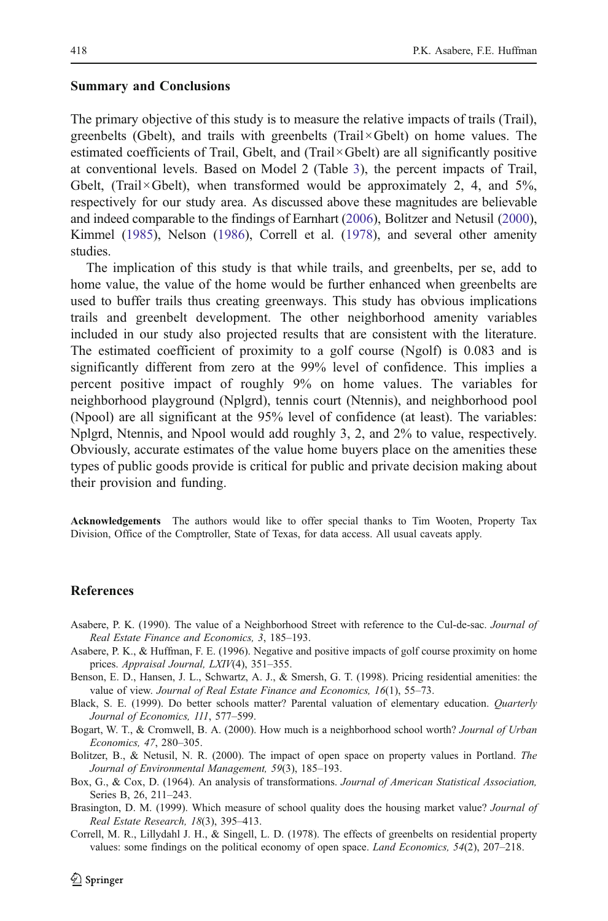#### <span id="page-10-0"></span>Summary and Conclusions

The primary objective of this study is to measure the relative impacts of trails (Trail), greenbelts (Gbelt), and trails with greenbelts (Trail×Gbelt) on home values. The estimated coefficients of Trail, Gbelt, and (Trail×Gbelt) are all significantly positive at conventional levels. Based on Model 2 (Table [3](#page-8-0)), the percent impacts of Trail, Gbelt, (Trail×Gbelt), when transformed would be approximately 2, 4, and  $5\%$ , respectively for our study area. As discussed above these magnitudes are believable and indeed comparable to the findings of Earnhart [\(2006\)](#page-11-0), Bolitzer and Netusil (2000), Kimmel [\(1985\)](#page-11-0), Nelson [\(1986\)](#page-11-0), Correll et al. (1978), and several other amenity studies.

The implication of this study is that while trails, and greenbelts, per se, add to home value, the value of the home would be further enhanced when greenbelts are used to buffer trails thus creating greenways. This study has obvious implications trails and greenbelt development. The other neighborhood amenity variables included in our study also projected results that are consistent with the literature. The estimated coefficient of proximity to a golf course (Ngolf) is 0.083 and is significantly different from zero at the 99% level of confidence. This implies a percent positive impact of roughly 9% on home values. The variables for neighborhood playground (Nplgrd), tennis court (Ntennis), and neighborhood pool (Npool) are all significant at the 95% level of confidence (at least). The variables: Nplgrd, Ntennis, and Npool would add roughly 3, 2, and 2% to value, respectively. Obviously, accurate estimates of the value home buyers place on the amenities these types of public goods provide is critical for public and private decision making about their provision and funding.

Acknowledgements The authors would like to offer special thanks to Tim Wooten, Property Tax Division, Office of the Comptroller, State of Texas, for data access. All usual caveats apply.

### References

- Asabere, P. K. (1990). The value of a Neighborhood Street with reference to the Cul-de-sac. Journal of Real Estate Finance and Economics, 3, 185–193.
- Asabere, P. K., & Huffman, F. E. (1996). Negative and positive impacts of golf course proximity on home prices. Appraisal Journal, LXIV(4), 351–355.
- Benson, E. D., Hansen, J. L., Schwartz, A. J., & Smersh, G. T. (1998). Pricing residential amenities: the value of view. Journal of Real Estate Finance and Economics, 16(1), 55–73.
- Black, S. E. (1999). Do better schools matter? Parental valuation of elementary education. Quarterly Journal of Economics, 111, 577–599.
- Bogart, W. T., & Cromwell, B. A. (2000). How much is a neighborhood school worth? Journal of Urban Economics, 47, 280–305.
- Bolitzer, B., & Netusil, N. R. (2000). The impact of open space on property values in Portland. The Journal of Environmental Management, 59(3), 185–193.
- Box, G., & Cox, D. (1964). An analysis of transformations. Journal of American Statistical Association, Series B, 26, 211–243.
- Brasington, D. M. (1999). Which measure of school quality does the housing market value? Journal of Real Estate Research, 18(3), 395–413.
- Correll, M. R., Lillydahl J. H., & Singell, L. D. (1978). The effects of greenbelts on residential property values: some findings on the political economy of open space. Land Economics, 54(2), 207–218.